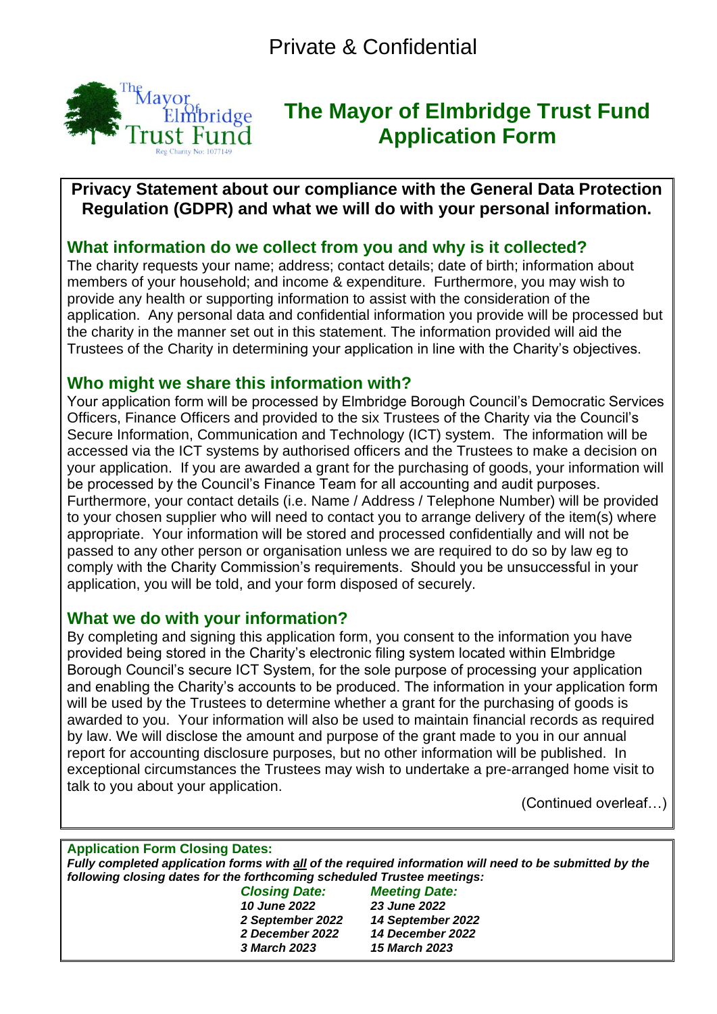

# **The Mayor of Elmbridge Trust Fund Application Form**

## **Privacy Statement about our compliance with the General Data Protection Regulation (GDPR) and what we will do with your personal information.**

# **What information do we collect from you and why is it collected?**

The charity requests your name; address; contact details; date of birth; information about members of your household; and income & expenditure. Furthermore, you may wish to provide any health or supporting information to assist with the consideration of the application. Any personal data and confidential information you provide will be processed but the charity in the manner set out in this statement. The information provided will aid the Trustees of the Charity in determining your application in line with the Charity's objectives.

# **Who might we share this information with?**

Your application form will be processed by Elmbridge Borough Council's Democratic Services Officers, Finance Officers and provided to the six Trustees of the Charity via the Council's Secure Information, Communication and Technology (ICT) system. The information will be accessed via the ICT systems by authorised officers and the Trustees to make a decision on your application. If you are awarded a grant for the purchasing of goods, your information will be processed by the Council's Finance Team for all accounting and audit purposes. Furthermore, your contact details (i.e. Name / Address / Telephone Number) will be provided to your chosen supplier who will need to contact you to arrange delivery of the item(s) where appropriate. Your information will be stored and processed confidentially and will not be passed to any other person or organisation unless we are required to do so by law eg to comply with the Charity Commission's requirements. Should you be unsuccessful in your application, you will be told, and your form disposed of securely.

## **What we do with your information?**

By completing and signing this application form, you consent to the information you have provided being stored in the Charity's electronic filing system located within Elmbridge Borough Council's secure ICT System, for the sole purpose of processing your application and enabling the Charity's accounts to be produced. The information in your application form will be used by the Trustees to determine whether a grant for the purchasing of goods is awarded to you. Your information will also be used to maintain financial records as required by law. We will disclose the amount and purpose of the grant made to you in our annual report for accounting disclosure purposes, but no other information will be published. In exceptional circumstances the Trustees may wish to undertake a pre-arranged home visit to talk to you about your application.

(Continued overleaf…)

#### **Application Form Closing Dates:** *Fully completed application forms with all of the required information will need to be submitted by the*

*following closing dates for the forthcoming scheduled Trustee meetings:*

*Closing Date: Meeting Date: June 2022 23 June 2022 September 2022 14 September 2022 December 2022 14 December 2022 March 2023 15 March 2023*